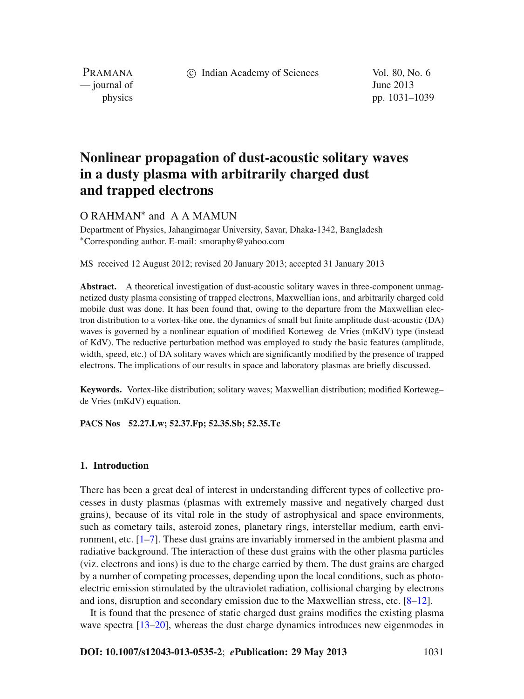c Indian Academy of Sciences Vol. 80, No. 6

PRAMANA — journal of June 2013

physics pp. 1031–1039

# **Nonlinear propagation of dust-acoustic solitary waves in a dusty plasma with arbitrarily charged dust and trapped electrons**

O RAHMAN<sup>∗</sup> and A A MAMUN

Department of Physics, Jahangirnagar University, Savar, Dhaka-1342, Bangladesh <sup>∗</sup>Corresponding author. E-mail: smoraphy@yahoo.com

MS received 12 August 2012; revised 20 January 2013; accepted 31 January 2013

**Abstract.** A theoretical investigation of dust-acoustic solitary waves in three-component unmagnetized dusty plasma consisting of trapped electrons, Maxwellian ions, and arbitrarily charged cold mobile dust was done. It has been found that, owing to the departure from the Maxwellian electron distribution to a vortex-like one, the dynamics of small but finite amplitude dust-acoustic (DA) waves is governed by a nonlinear equation of modified Korteweg–de Vries (mKdV) type (instead of KdV). The reductive perturbation method was employed to study the basic features (amplitude, width, speed, etc.) of DA solitary waves which are significantly modified by the presence of trapped electrons. The implications of our results in space and laboratory plasmas are briefly discussed.

**Keywords.** Vortex-like distribution; solitary waves; Maxwellian distribution; modified Korteweg– de Vries (mKdV) equation.

**PACS Nos 52.27.Lw; 52.37.Fp; 52.35.Sb; 52.35.Tc**

## **1. Introduction**

There has been a great deal of interest in understanding different types of collective processes in dusty plasmas (plasmas with extremely massive and negatively charged dust grains), because of its vital role in the study of astrophysical and space environments, such as cometary tails, asteroid zones, planetary rings, interstellar medium, earth environment, etc. [\[1](#page-8-0)[–7\]](#page-8-1). These dust grains are invariably immersed in the ambient plasma and radiative background. The interaction of these dust grains with the other plasma particles (viz. electrons and ions) is due to the charge carried by them. The dust grains are charged by a number of competing processes, depending upon the local conditions, such as photoelectric emission stimulated by the ultraviolet radiation, collisional charging by electrons and ions, disruption and secondary emission due to the Maxwellian stress, etc. [\[8](#page-8-2)[–12\]](#page-8-3).

It is found that the presence of static charged dust grains modifies the existing plasma wave spectra [\[13](#page-8-4)[–20\]](#page-8-5), whereas the dust charge dynamics introduces new eigenmodes in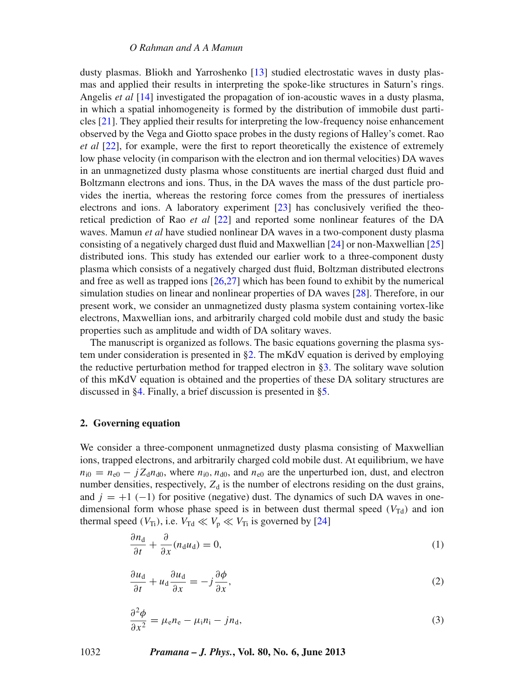dusty plasmas. Bliokh and Yarroshenko [\[13](#page-8-4)] studied electrostatic waves in dusty plasmas and applied their results in interpreting the spoke-like structures in Saturn's rings. Angelis *et al* [\[14](#page-8-6)] investigated the propagation of ion-acoustic waves in a dusty plasma, in which a spatial inhomogeneity is formed by the distribution of immobile dust particles [\[21\]](#page-8-7). They applied their results for interpreting the low-frequency noise enhancement observed by the Vega and Giotto space probes in the dusty regions of Halley's comet. Rao *et al* [\[22\]](#page-8-8), for example, were the first to report theoretically the existence of extremely low phase velocity (in comparison with the electron and ion thermal velocities) DA waves in an unmagnetized dusty plasma whose constituents are inertial charged dust fluid and Boltzmann electrons and ions. Thus, in the DA waves the mass of the dust particle provides the inertia, whereas the restoring force comes from the pressures of inertialess electrons and ions. A laboratory experiment [\[23](#page-8-9)] has conclusively verified the theoretical prediction of Rao *et al* [\[22\]](#page-8-8) and reported some nonlinear features of the DA waves. Mamun *et al* have studied nonlinear DA waves in a two-component dusty plasma consisting of a negatively charged dust fluid and Maxwellian [\[24](#page-8-10)] or non-Maxwellian [\[25\]](#page-8-11) distributed ions. This study has extended our earlier work to a three-component dusty plasma which consists of a negatively charged dust fluid, Boltzman distributed electrons and free as well as trapped ions [\[26](#page-8-12)[,27\]](#page-8-13) which has been found to exhibit by the numerical simulation studies on linear and nonlinear properties of DA waves [\[28](#page-8-14)]. Therefore, in our present work, we consider an unmagnetized dusty plasma system containing vortex-like electrons, Maxwellian ions, and arbitrarily charged cold mobile dust and study the basic properties such as amplitude and width of DA solitary waves.

The manuscript is organized as follows. The basic equations governing the plasma system under consideration is presented in  $\S2$ . The mKdV equation is derived by employing the reductive perturbation method for trapped electron in  $\S$ 3. The solitary wave solution of this mKdV equation is obtained and the properties of these DA solitary structures are discussed in [§4.](#page-4-0) Finally, a brief discussion is presented in [§5.](#page-7-0)

## <span id="page-1-0"></span>**2. Governing equation**

We consider a three-component unmagnetized dusty plasma consisting of Maxwellian ions, trapped electrons, and arbitrarily charged cold mobile dust. At equilibrium, we have  $n_{i0} = n_{e0} - jZ_d n_{d0}$ , where  $n_{i0}$ ,  $n_{d0}$ , and  $n_{e0}$  are the unperturbed ion, dust, and electron number densities, respectively,  $Z_d$  is the number of electrons residing on the dust grains, and  $j = +1$  (−1) for positive (negative) dust. The dynamics of such DA waves in onedimensional form whose phase speed is in between dust thermal speed  $(V_{\text{Td}})$  and ion thermal speed  $(V_{Ti})$ , i.e.  $V_{Td} \ll V_p \ll V_{Ti}$  is governed by [\[24\]](#page-8-10)

$$
\frac{\partial n_{\rm d}}{\partial t} + \frac{\partial}{\partial x}(n_{\rm d}u_{\rm d}) = 0,\tag{1}
$$

$$
\frac{\partial u_{\rm d}}{\partial t} + u_{\rm d} \frac{\partial u_{\rm d}}{\partial x} = -j \frac{\partial \phi}{\partial x},\tag{2}
$$

$$
\frac{\partial^2 \phi}{\partial x^2} = \mu_{\rm e} n_{\rm e} - \mu_{\rm i} n_{\rm i} - j n_{\rm d},\tag{3}
$$

1032 *Pramana – J. Phys.***, Vol. 80, No. 6, June 2013**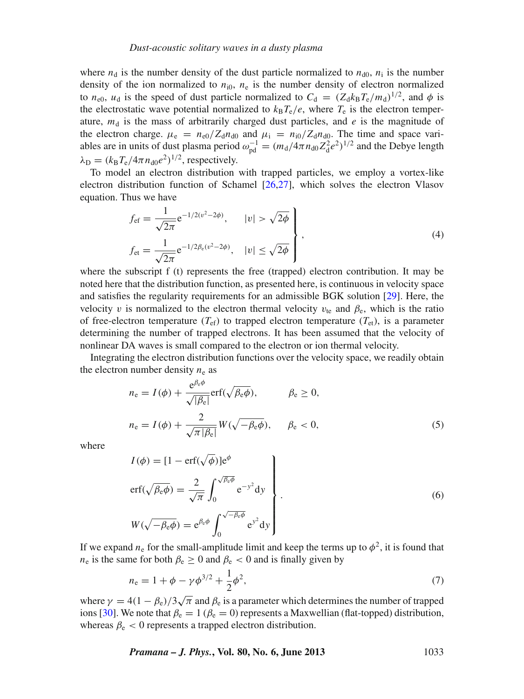where  $n_d$  is the number density of the dust particle normalized to  $n_{d0}$ ,  $n_i$  is the number density of the ion normalized to  $n_{i0}$ ,  $n_e$  is the number density of electron normalized to  $n_{e0}$ ,  $u_d$  is the speed of dust particle normalized to  $C_d = (Z_d k_B T_e / m_d)^{1/2}$ , and  $\phi$  is the electrostatic wave potential normalized to  $k_B T_e/e$ , where  $T_e$  is the electron temperature,  $m_d$  is the mass of arbitrarily charged dust particles, and *e* is the magnitude of the electron charge.  $\mu_e = n_{e0}/Z_d n_{d0}$  and  $\mu_i = n_{i0}/Z_d n_{d0}$ . The time and space variables are in units of dust plasma period  $\omega_{\text{pd}}^{-1} = (m_d/4\pi n_{d0} Z_d^2 e^2)^{1/2}$  and the Debye length  $\lambda_{\rm D} = (k_{\rm B}T_{\rm e}/4\pi n_{\rm d0}e^2)^{1/2}$ , respectively.

To model an electron distribution with trapped particles, we employ a vortex-like electron distribution function of Schamel [\[26](#page-8-12)[,27\]](#page-8-13), which solves the electron Vlasov equation. Thus we have

$$
f_{\rm ef} = \frac{1}{\sqrt{2\pi}} e^{-1/2(v^2 - 2\phi)}, \qquad |v| > \sqrt{2\phi}
$$
  
\n
$$
f_{\rm et} = \frac{1}{\sqrt{2\pi}} e^{-1/2\beta_{\rm e}(v^2 - 2\phi)}, \quad |v| \le \sqrt{2\phi}
$$
\n(4)

where the subscript f (t) represents the free (trapped) electron contribution. It may be noted here that the distribution function, as presented here, is continuous in velocity space and satisfies the regularity requirements for an admissible BGK solution [\[29](#page-8-15)]. Here, the velocity v is normalized to the electron thermal velocity  $v_{te}$  and  $\beta_e$ , which is the ratio of free-electron temperature  $(T_{ef})$  to trapped electron temperature  $(T_{et})$ , is a parameter determining the number of trapped electrons. It has been assumed that the velocity of nonlinear DA waves is small compared to the electron or ion thermal velocity.

Integrating the electron distribution functions over the velocity space, we readily obtain the electron number density  $n_e$  as

$$
n_{e} = I(\phi) + \frac{e^{\beta_{e}\phi}}{\sqrt{|\beta_{e}|}} erf(\sqrt{\beta_{e}\phi}), \qquad \beta_{e} \ge 0,
$$
  

$$
n_{e} = I(\phi) + \frac{2}{\sqrt{\pi |\beta_{e}|}} W(\sqrt{-\beta_{e}\phi}), \qquad \beta_{e} < 0,
$$
 (5)

where

$$
I(\phi) = [1 - \text{erf}(\sqrt{\phi})]e^{\phi}
$$
  
\n
$$
\text{erf}(\sqrt{\beta_{e}\phi}) = \frac{2}{\sqrt{\pi}} \int_{0}^{\sqrt{\beta_{e}\phi}} e^{-y^{2}} dy
$$
  
\n
$$
W(\sqrt{-\beta_{e}\phi}) = e^{\beta_{e}\phi} \int_{0}^{\sqrt{-\beta_{e}\phi}} e^{y^{2}} dy
$$
\n(6)

If we expand  $n_e$  for the small-amplitude limit and keep the terms up to  $\phi^2$ , it is found that  $n_e$  is the same for both  $\beta_e \ge 0$  and  $\beta_e < 0$  and is finally given by

<span id="page-2-0"></span>
$$
n_{\rm e} = 1 + \phi - \gamma \phi^{3/2} + \frac{1}{2} \phi^2,\tag{7}
$$

where  $\gamma = 4(1 - \beta_e)/3\sqrt{\pi}$  and  $\beta_e$  is a parameter which determines the number of trapped ions [\[30\]](#page-8-16). We note that  $\beta_e = 1$  ( $\beta_e = 0$ ) represents a Maxwellian (flat-topped) distribution, whereas  $\beta_e < 0$  represents a trapped electron distribution.

*Pramana – J. Phys.***, Vol. 80, No. 6, June 2013** 1033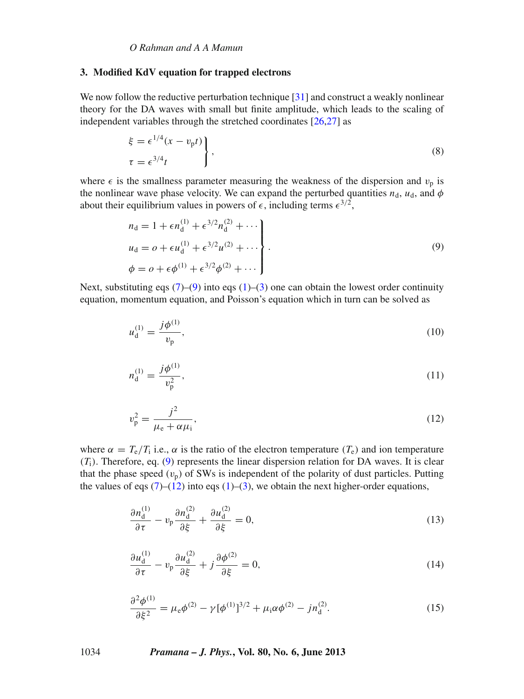## <span id="page-3-0"></span>**3. Modified KdV equation for trapped electrons**

We now follow the reductive perturbation technique [\[31](#page-8-17)] and construct a weakly nonlinear theory for the DA waves with small but finite amplitude, which leads to the scaling of independent variables through the stretched coordinates [\[26](#page-8-12)[,27](#page-8-13)] as

$$
\xi = \epsilon^{1/4} (x - v_{\text{p}} t) \n\tau = \epsilon^{3/4} t
$$
\n(8)

where  $\epsilon$  is the smallness parameter measuring the weakness of the dispersion and  $v_p$  is the nonlinear wave phase velocity. We can expand the perturbed quantities  $n_d$ ,  $u_d$ , and  $\phi$ about their equilibrium values in powers of  $\epsilon$ , including terms  $\epsilon^{3/2}$ ,

<span id="page-3-1"></span>
$$
n_{d} = 1 + \epsilon n_{d}^{(1)} + \epsilon^{3/2} n_{d}^{(2)} + \cdots
$$
  
\n
$$
u_{d} = o + \epsilon u_{d}^{(1)} + \epsilon^{3/2} u^{(2)} + \cdots
$$
  
\n
$$
\phi = o + \epsilon \phi^{(1)} + \epsilon^{3/2} \phi^{(2)} + \cdots
$$
\n(9)

Next, substituting eqs  $(7)$ – $(9)$  into eqs  $(1)$ – $(3)$  one can obtain the lowest order continuity equation, momentum equation, and Poisson's equation which in turn can be solved as

$$
u_{\rm d}^{(1)} = \frac{j\phi^{(1)}}{v_{\rm p}},\tag{10}
$$

$$
n_{\rm d}^{(1)} = \frac{j\phi^{(1)}}{v_{\rm p}^2},\tag{11}
$$

<span id="page-3-2"></span>
$$
v_{\rm p}^2 = \frac{j^2}{\mu_{\rm e} + \alpha \mu_{\rm i}},\tag{12}
$$

where  $\alpha = T_e/T_i$  i.e.,  $\alpha$  is the ratio of the electron temperature  $(T_e)$  and ion temperature  $(T_i)$ . Therefore, eq. [\(9\)](#page-3-1) represents the linear dispersion relation for DA waves. It is clear that the phase speed  $(v_p)$  of SWs is independent of the polarity of dust particles. Putting the values of eqs  $(7)$ – $(12)$  into eqs  $(1)$ – $(3)$ , we obtain the next higher-order equations,

<span id="page-3-3"></span>
$$
\frac{\partial n_{\rm d}^{(1)}}{\partial \tau} - v_{\rm p} \frac{\partial n_{\rm d}^{(2)}}{\partial \xi} + \frac{\partial u_{\rm d}^{(2)}}{\partial \xi} = 0,\tag{13}
$$

$$
\frac{\partial u_{\rm d}^{(1)}}{\partial \tau} - v_{\rm p} \frac{\partial u_{\rm d}^{(2)}}{\partial \xi} + j \frac{\partial \phi^{(2)}}{\partial \xi} = 0, \tag{14}
$$

<span id="page-3-4"></span>
$$
\frac{\partial^2 \phi^{(1)}}{\partial \xi^2} = \mu_e \phi^{(2)} - \gamma [\phi^{(1)}]^{3/2} + \mu_i \alpha \phi^{(2)} - j n_d^{(2)}.
$$
 (15)

1034 *Pramana – J. Phys.***, Vol. 80, No. 6, June 2013**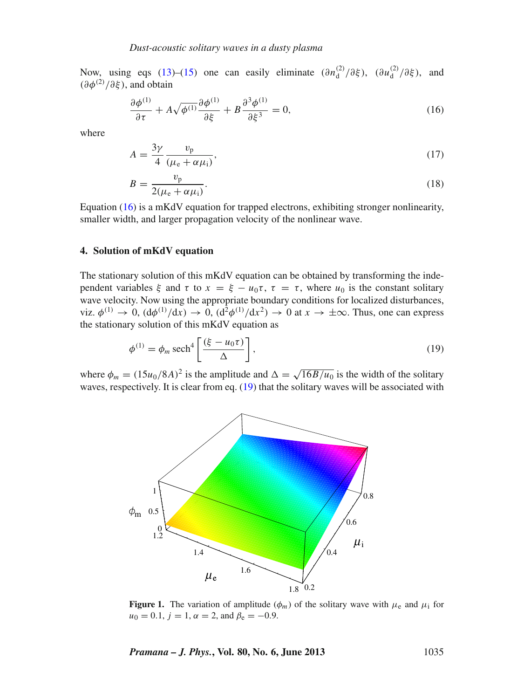Now, using eqs [\(13\)](#page-3-3)–[\(15\)](#page-3-4) one can easily eliminate  $(\partial n_d^{(2)}/\partial \xi)$ ,  $(\partial u_d^{(2)}/\partial \xi)$ , and  $(\partial \phi^{(2)}/\partial \xi)$ , and obtain

<span id="page-4-2"></span>
$$
\frac{\partial \phi^{(1)}}{\partial \tau} + A \sqrt{\phi^{(1)}} \frac{\partial \phi^{(1)}}{\partial \xi} + B \frac{\partial^3 \phi^{(1)}}{\partial \xi^3} = 0,\tag{16}
$$

where

$$
A = \frac{3\gamma}{4} \frac{v_{\rm p}}{(\mu_{\rm e} + \alpha \mu_{\rm i})},\tag{17}
$$

$$
B = \frac{v_{\rm p}}{2(\mu_{\rm e} + \alpha \mu_{\rm i})}.\tag{18}
$$

Equation [\(16\)](#page-4-2) is a mKdV equation for trapped electrons, exhibiting stronger nonlinearity, smaller width, and larger propagation velocity of the nonlinear wave.

# <span id="page-4-0"></span>**4. Solution of mKdV equation**

The stationary solution of this mKdV equation can be obtained by transforming the independent variables  $\xi$  and  $\tau$  to  $x = \xi - u_0 \tau$ ,  $\tau = \tau$ , where  $u_0$  is the constant solitary wave velocity. Now using the appropriate boundary conditions for localized disturbances, viz.  $\phi^{(1)} \to 0$ ,  $(d\phi^{(1)}/dx) \to 0$ ,  $(d^2\phi^{(1)}/dx^2) \to 0$  at  $x \to \pm \infty$ . Thus, one can express the stationary solution of this mKdV equation as

<span id="page-4-3"></span>
$$
\phi^{(1)} = \phi_m \operatorname{sech}^4\left[\frac{(\xi - u_0 \tau)}{\Delta}\right],\tag{19}
$$

<span id="page-4-1"></span>where  $\phi_m = (15u_0/8A)^2$  is the amplitude and  $\Delta = \sqrt{16B/u_0}$  is the width of the solitary waves, respectively. It is clear from eq. [\(19\)](#page-4-3) that the solitary waves will be associated with



**Figure 1.** The variation of amplitude  $(\phi_m)$  of the solitary wave with  $\mu_e$  and  $\mu_i$  for  $u_0 = 0.1$ ,  $j = 1$ ,  $\alpha = 2$ , and  $\beta_e = -0.9$ .

*Pramana – J. Phys.***, Vol. 80, No. 6, June 2013** 1035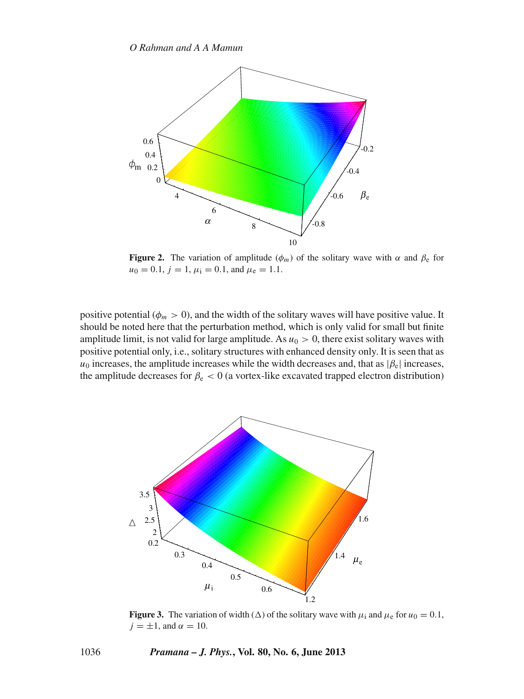<span id="page-5-1"></span>

**Figure 2.** The variation of amplitude  $(\phi_m)$  of the solitary wave with  $\alpha$  and  $\beta_e$  for  $u_0 = 0.1$ ,  $j = 1$ ,  $\mu_i = 0.1$ , and  $\mu_e = 1.1$ .

positive potential ( $\phi_m > 0$ ), and the width of the solitary waves will have positive value. It should be noted here that the perturbation method, which is only valid for small but finite amplitude limit, is not valid for large amplitude. As  $u_0 > 0$ , there exist solitary waves with positive potential only, i.e., solitary structures with enhanced density only. It is seen that as  $u_0$  increases, the amplitude increases while the width decreases and, that as  $|\beta_e|$  increases, the amplitude decreases for  $\beta_e < 0$  (a vortex-like excavated trapped electron distribution)

<span id="page-5-0"></span>

**Figure 3.** The variation of width ( $\Delta$ ) of the solitary wave with  $\mu_i$  and  $\mu_e$  for  $u_0 = 0.1$ ,  $j = \pm 1$ , and  $\alpha = 10$ .

1036 *Pramana – J. Phys.***, Vol. 80, No. 6, June 2013**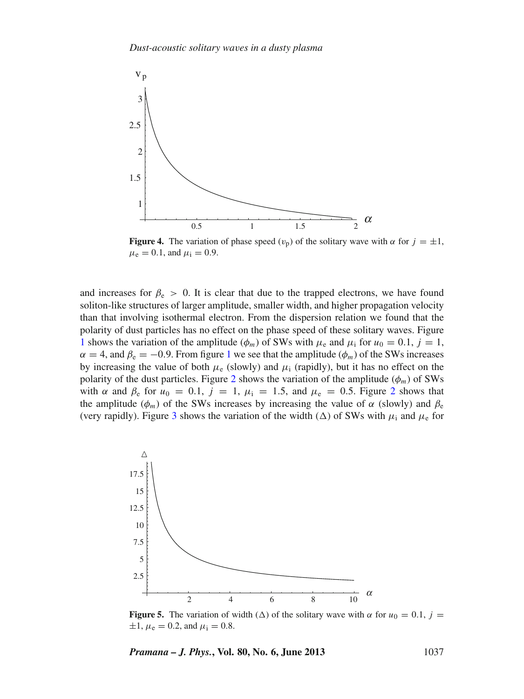<span id="page-6-0"></span>

**Figure 4.** The variation of phase speed  $(v_p)$  of the solitary wave with  $\alpha$  for  $j = \pm 1$ ,  $\mu_e = 0.1$ , and  $\mu_i = 0.9$ .

and increases for  $\beta_e > 0$ . It is clear that due to the trapped electrons, we have found soliton-like structures of larger amplitude, smaller width, and higher propagation velocity than that involving isothermal electron. From the dispersion relation we found that the polarity of dust particles has no effect on the phase speed of these solitary waves. Figure [1](#page-4-1) shows the variation of the amplitude ( $\phi_m$ ) of SWs with  $\mu_e$  and  $\mu_i$  for  $u_0 = 0.1$ ,  $j = 1$ ,  $\alpha = 4$ , and  $\beta_e = -0.9$ . From figure [1](#page-4-1) we see that the amplitude ( $\phi_m$ ) of the SWs increases by increasing the value of both  $\mu_e$  (slowly) and  $\mu_i$  (rapidly), but it has no effect on the polarity of the dust particles. Figure [2](#page-5-1) shows the variation of the amplitude  $(\phi_m)$  of SWs with  $\alpha$  and  $\beta_e$  for  $u_0 = 0.1$ ,  $j = 1$ ,  $\mu_i = 1.5$ , and  $\mu_e = 0.5$ . Figure [2](#page-5-1) shows that the amplitude ( $\phi_m$ ) of the SWs increases by increasing the value of  $\alpha$  (slowly) and  $\beta_e$ (very rapidly). Figure [3](#page-5-0) shows the variation of the width ( $\Delta$ ) of SWs with  $\mu_i$  and  $\mu_e$  for

<span id="page-6-1"></span>

**Figure 5.** The variation of width ( $\Delta$ ) of the solitary wave with  $\alpha$  for  $u_0 = 0.1$ ,  $j =$  $\pm 1$ ,  $\mu_e = 0.2$ , and  $\mu_i = 0.8$ .

*Pramana – J. Phys.***, Vol. 80, No. 6, June 2013** 1037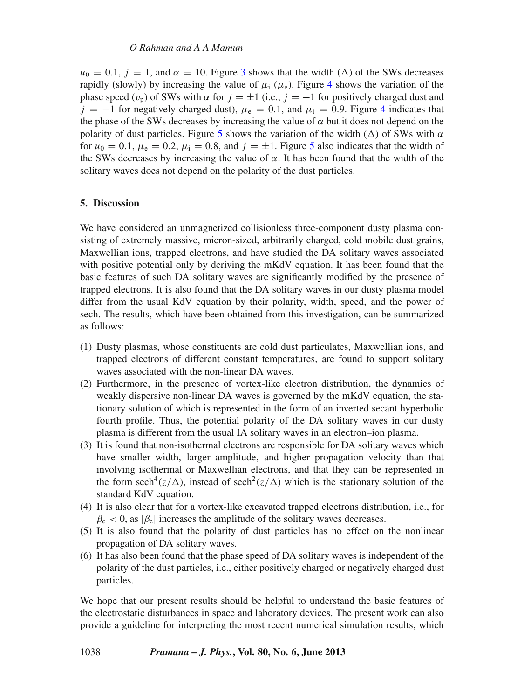## *O Rahman and A A Mamun*

 $u_0 = 0.1$ ,  $j = 1$ , and  $\alpha = 10$ . Figure [3](#page-5-0) shows that the width ( $\Delta$ ) of the SWs decreases rapidly (slowly) by increasing the value of  $\mu_i$  ( $\mu_e$ ). Figure [4](#page-6-0) shows the variation of the phase speed  $(v_p)$  of SWs with  $\alpha$  for  $j = \pm 1$  (i.e.,  $j = +1$  for positively charged dust and  $j = -1$  for negatively charged dust),  $\mu_e = 0.1$ , and  $\mu_i = 0.9$ . Figure [4](#page-6-0) indicates that the phase of the SWs decreases by increasing the value of  $\alpha$  but it does not depend on the polarity of dust particles. Figure [5](#page-6-1) shows the variation of the width  $(\Delta)$  of SWs with  $\alpha$ for  $u_0 = 0.1$ ,  $\mu_e = 0.2$ ,  $\mu_i = 0.8$ , and  $j = \pm 1$ . Figure [5](#page-6-1) also indicates that the width of the SWs decreases by increasing the value of  $\alpha$ . It has been found that the width of the solitary waves does not depend on the polarity of the dust particles.

## <span id="page-7-0"></span>**5. Discussion**

We have considered an unmagnetized collisionless three-component dusty plasma consisting of extremely massive, micron-sized, arbitrarily charged, cold mobile dust grains, Maxwellian ions, trapped electrons, and have studied the DA solitary waves associated with positive potential only by deriving the mKdV equation. It has been found that the basic features of such DA solitary waves are significantly modified by the presence of trapped electrons. It is also found that the DA solitary waves in our dusty plasma model differ from the usual KdV equation by their polarity, width, speed, and the power of sech. The results, which have been obtained from this investigation, can be summarized as follows:

- (1) Dusty plasmas, whose constituents are cold dust particulates, Maxwellian ions, and trapped electrons of different constant temperatures, are found to support solitary waves associated with the non-linear DA waves.
- (2) Furthermore, in the presence of vortex-like electron distribution, the dynamics of weakly dispersive non-linear DA waves is governed by the mKdV equation, the stationary solution of which is represented in the form of an inverted secant hyperbolic fourth profile. Thus, the potential polarity of the DA solitary waves in our dusty plasma is different from the usual IA solitary waves in an electron–ion plasma.
- (3) It is found that non-isothermal electrons are responsible for DA solitary waves which have smaller width, larger amplitude, and higher propagation velocity than that involving isothermal or Maxwellian electrons, and that they can be represented in the form sech<sup>4</sup>( $z/\Delta$ ), instead of sech<sup>2</sup>( $z/\Delta$ ) which is the stationary solution of the standard KdV equation.
- (4) It is also clear that for a vortex-like excavated trapped electrons distribution, i.e., for  $\beta_e$  < 0, as  $|\beta_e|$  increases the amplitude of the solitary waves decreases.
- (5) It is also found that the polarity of dust particles has no effect on the nonlinear propagation of DA solitary waves.
- (6) It has also been found that the phase speed of DA solitary waves is independent of the polarity of the dust particles, i.e., either positively charged or negatively charged dust particles.

We hope that our present results should be helpful to understand the basic features of the electrostatic disturbances in space and laboratory devices. The present work can also provide a guideline for interpreting the most recent numerical simulation results, which